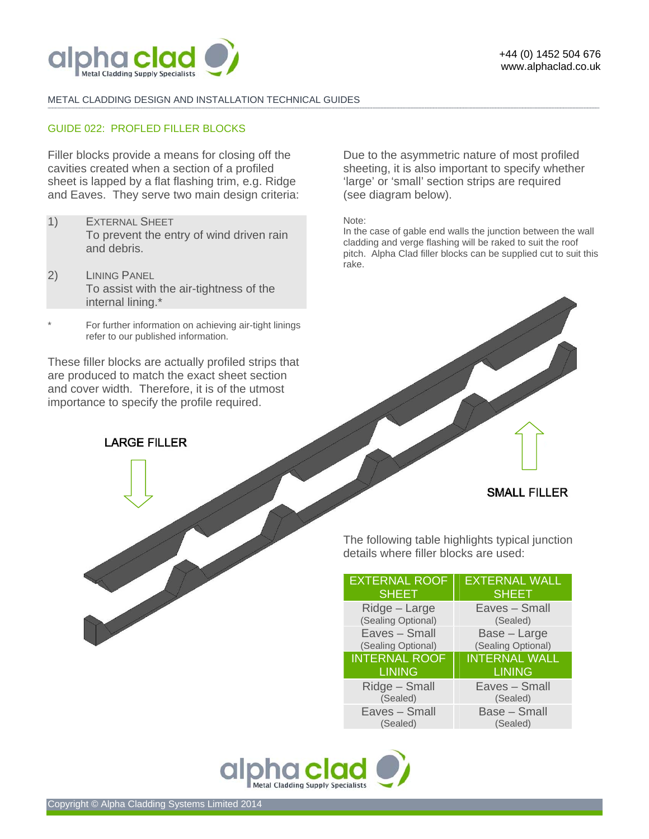

#### METAL CLADDING DESIGN AND INSTALLATION TECHNICAL GUIDES **-------------------------------------------------------------------------------------------------------------------------------------------------------------------------------------------------------------------------------------------------------------------------------------------------------------------------------------------------------------------------------------------------------**

### GUIDE 022: PROFLED FILLER BLOCKS

Filler blocks provide a means for closing off the cavities created when a section of a profiled sheet is lapped by a flat flashing trim, e.g. Ridge and Eaves. They serve two main design criteria:

- 1) EXTERNAL SHEET To prevent the entry of wind driven rain and debris.
- 2) LINING PANEL To assist with the air-tightness of the internal lining.\*
- For further information on achieving air-tight linings refer to our published information.

These filler blocks are actually profiled strips that are produced to match the exact sheet section and cover width. Therefore, it is of the utmost importance to specify the profile required.

**LARGE FILLER** 

Due to the asymmetric nature of most profiled sheeting, it is also important to specify whether 'large' or 'small' section strips are required (see diagram below).

Note:

In the case of gable end walls the junction between the wall cladding and verge flashing will be raked to suit the roof pitch. Alpha Clad filler blocks can be supplied cut to suit this rake.

### **SMALL FILLER**

The following table highlights typical junction details where filler blocks are used:

| <b>EXTERNAL ROOF</b> | <b>EXTERNAL WALL</b> |
|----------------------|----------------------|
| <b>SHEET</b>         | <b>SHEET</b>         |
| Ridge - Large        | Eaves - Small        |
| (Sealing Optional)   | (Sealed)             |
| Eaves - Small        | Base - Large         |
| (Sealing Optional)   | (Sealing Optional)   |
|                      |                      |
| <b>INTERNAL ROOF</b> | <b>INTERNAL WALL</b> |
| <b>LINING</b>        | <b>LINING</b>        |
| Ridge - Small        | Eaves - Small        |
| (Sealed)             | (Sealed)             |